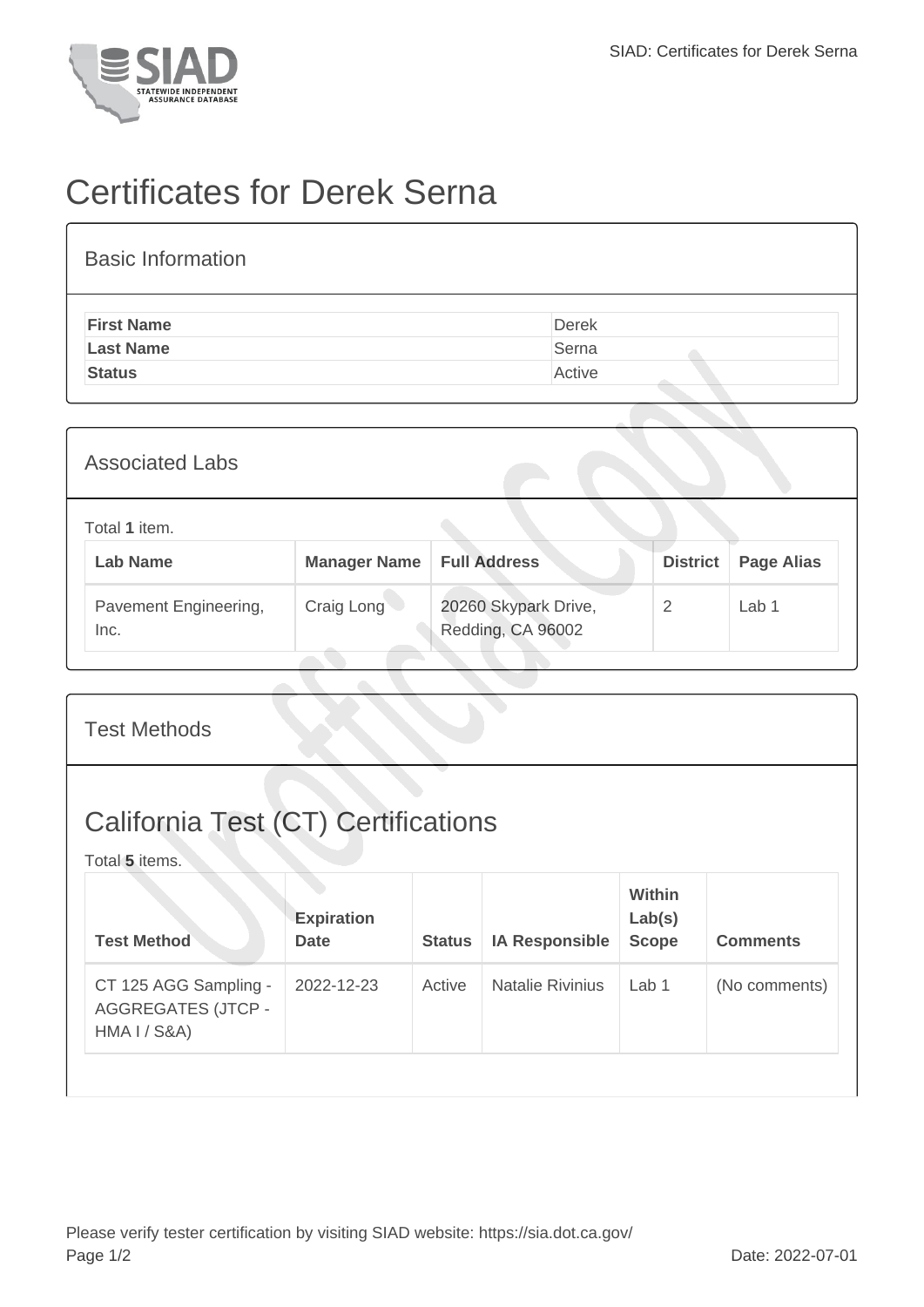

## Certificates for Derek Serna

| <b>Basic Information</b> |        |
|--------------------------|--------|
| <b>First Name</b>        | Derek  |
| <b>Last Name</b>         | Serna  |
| <b>Status</b>            | Active |
|                          |        |

| <b>Associated Labs</b>           |                     |                                           |                 |                   |
|----------------------------------|---------------------|-------------------------------------------|-----------------|-------------------|
| Total 1 item.<br><b>Lab Name</b> | <b>Manager Name</b> | <b>Full Address</b>                       | <b>District</b> | <b>Page Alias</b> |
| Pavement Engineering,<br>Inc.    | Craig Long          | 20260 Skypark Drive,<br>Redding, CA 96002 | 2               | Lab <sub>1</sub>  |

| <b>Test Methods</b>                                                |                                  |               |                         |                                         |                 |  |
|--------------------------------------------------------------------|----------------------------------|---------------|-------------------------|-----------------------------------------|-----------------|--|
| <b>California Test (CT) Certifications</b><br>Total 5 items.       |                                  |               |                         |                                         |                 |  |
| <b>Test Method</b>                                                 | <b>Expiration</b><br><b>Date</b> | <b>Status</b> | <b>IA Responsible</b>   | <b>Within</b><br>Lab(s)<br><b>Scope</b> | <b>Comments</b> |  |
| CT 125 AGG Sampling -<br><b>AGGREGATES (JTCP -</b><br>HMA I / S8A) | 2022-12-23                       | Active        | <b>Natalie Rivinius</b> | Lab <sub>1</sub>                        | (No comments)   |  |
|                                                                    |                                  |               |                         |                                         |                 |  |